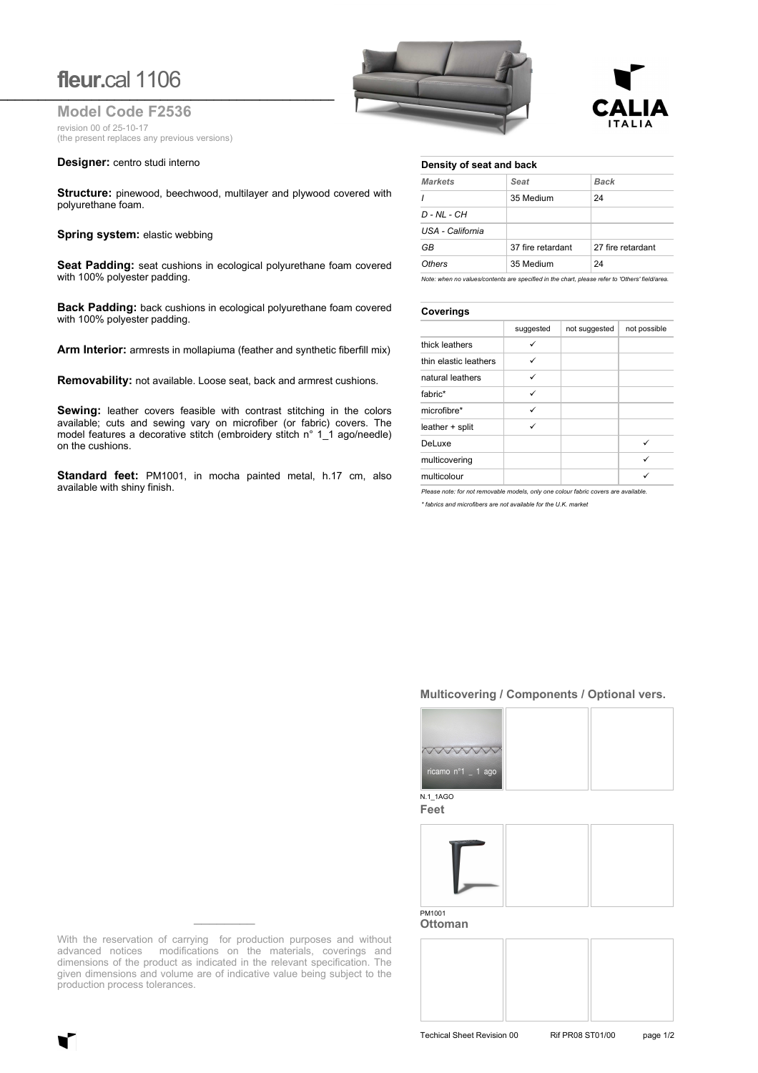# **fleur.**cal 1106

**Model Code F2536** revision 00 of 25-10-17 (the present replaces any previous versions)

#### **Designer:** centro studi interno

**Structure:** pinewood, beechwood, multilayer and plywood covered with polyurethane foam.

#### **Spring system: elastic webbing**

**Seat Padding:** seat cushions in ecological polyurethane foam covered with 100% polyester padding.

**Back Padding:** back cushions in ecological polyurethane foam covered with 100% polyester padding.

**Arm Interior:** armrests in mollapiuma (feather and synthetic fiberfill mix)

**Removability:** not available. Loose seat, back and armrest cushions.

**Sewing:** leather covers feasible with contrast stitching in the colors available; cuts and sewing vary on microfiber (or fabric) covers. The model features a decorative stitch (embroidery stitch n° 1\_1 ago/needle) on the cushions.

**Standard feet:** PM1001, in mocha painted metal, h.17 cm, also available with shiny finish.

| fleur.cal 1106                                     |  |
|----------------------------------------------------|--|
| <b>Model Code F2536</b><br>revision 00 of 25-10-17 |  |



#### **Density of seat and back**

| Seat              | Back              |  |
|-------------------|-------------------|--|
| 35 Medium         | 24                |  |
|                   |                   |  |
|                   |                   |  |
| 37 fire retardant | 27 fire retardant |  |
| 35 Medium         | 24                |  |
|                   |                   |  |

Note: when no values/contents are specified in the chart, please refer to 'Others' field/a

### **Coverings**

|                       | suggested | not suggested | not possible |  |
|-----------------------|-----------|---------------|--------------|--|
| thick leathers        | ✓         |               |              |  |
| thin elastic leathers | ✓         |               |              |  |
| natural leathers      | ✓         |               |              |  |
| fabric*               | ✓         |               |              |  |
| microfibre*           | ✓         |               |              |  |
| leather + split       |           |               |              |  |
| DeLuxe                |           |               | ✓            |  |
| multicovering         |           |               | ✓            |  |
| multicolour           |           |               |              |  |

*Please note: for not removable models, only one colour fabric covers are available.*

*\* fabrics and microfibers are not available for the U.K. market*

## **Multicovering / Components / Optional vers.**



**Feet**



**Ottoman**

With the reservation of carrying for production purposes and without advanced notices modifications on the materials, coverings and dimensions of the product as indicated in the relevant specification. The given dimensions and volume are of indicative value being subject to the production process tolerances.

**\_\_\_\_\_\_\_\_**